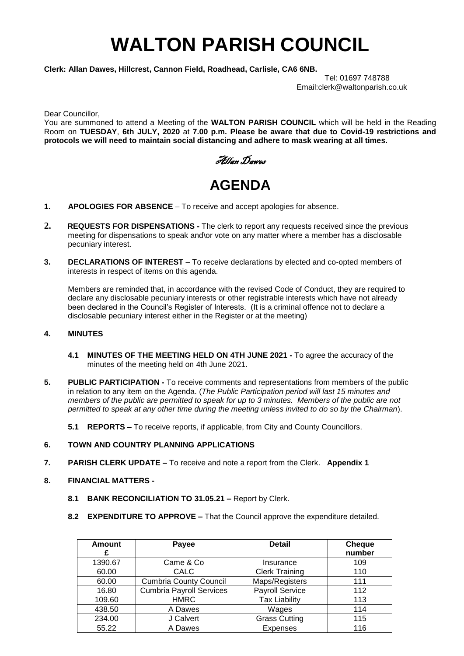# **WALTON PARISH COUNCIL**

**Clerk: Allan Dawes, Hillcrest, Cannon Field, Roadhead, Carlisle, CA6 6NB.** 

Tel: 01697 748788 Email:clerk@waltonparish.co.uk

Dear Councillor,

You are summoned to attend a Meeting of the **WALTON PARISH COUNCIL** which will be held in the Reading Room on **TUESDAY**, **6th JULY, 2020** at **7.00 p.m. Please be aware that due to Covid-19 restrictions and protocols we will need to maintain social distancing and adhere to mask wearing at all times.**

Allan Dawes

# **AGENDA**

- **1. APOLOGIES FOR ABSENCE** To receive and accept apologies for absence.
- **2. REQUESTS FOR DISPENSATIONS -** The clerk to report any requests received since the previous meeting for dispensations to speak and\or vote on any matter where a member has a disclosable pecuniary interest.
- **3. DECLARATIONS OF INTEREST** To receive declarations by elected and co-opted members of interests in respect of items on this agenda.

 Members are reminded that, in accordance with the revised Code of Conduct, they are required to declare any disclosable pecuniary interests or other registrable interests which have not already been declared in the Council's Register of Interests. (It is a criminal offence not to declare a disclosable pecuniary interest either in the Register or at the meeting)

# **4. MINUTES**

- **4.1 MINUTES OF THE MEETING HELD ON 4TH JUNE 2021 -** To agree the accuracy of the minutes of the meeting held on 4th June 2021.
- **5. PUBLIC PARTICIPATION -** To receive comments and representations from members of the public in relation to any item on the Agenda. (*The Public Participation period will last 15 minutes and members of the public are permitted to speak for up to 3 minutes. Members of the public are not permitted to speak at any other time during the meeting unless invited to do so by the Chairman*).
	- **5.1 REPORTS –** To receive reports, if applicable, from City and County Councillors.

# **6. TOWN AND COUNTRY PLANNING APPLICATIONS**

- **7. PARISH CLERK UPDATE –** To receive and note a report from the Clerk. **Appendix 1**
- **8. FINANCIAL MATTERS -**
	- **8.1 BANK RECONCILIATION TO 31.05.21 –** Report by Clerk.
	- **8.2 EXPENDITURE TO APPROVE –** That the Council approve the expenditure detailed.

| <b>Amount</b> | Payee                           | <b>Detail</b>         | <b>Cheque</b><br>number |
|---------------|---------------------------------|-----------------------|-------------------------|
| 1390.67       | Came & Co                       | Insurance             | 109                     |
| 60.00         | <b>CALC</b>                     | <b>Clerk Training</b> | 110                     |
| 60.00         | <b>Cumbria County Council</b>   | Maps/Registers        | 111                     |
| 16.80         | <b>Cumbria Payroll Services</b> | Payroll Service       | 112                     |
| 109.60        | <b>HMRC</b>                     | <b>Tax Liability</b>  | 113                     |
| 438.50        | A Dawes                         | Wages                 | 114                     |
| 234.00        | J Calvert                       | <b>Grass Cutting</b>  | 115                     |
| 55.22         | A Dawes                         | <b>Expenses</b>       | 116                     |